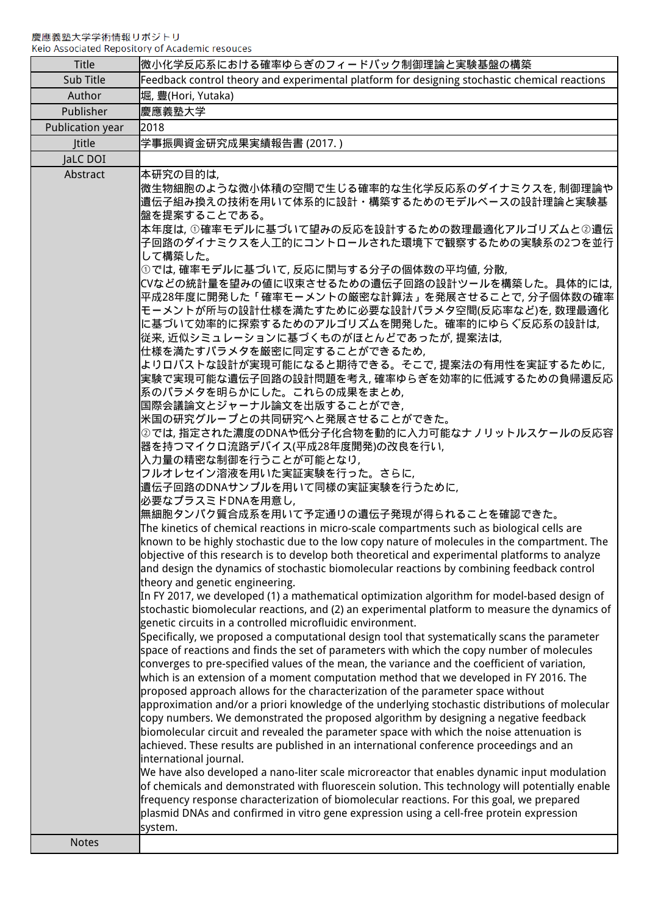| <b>Title</b>     | 微小化学反応系における確率ゆらぎのフィードバック制御理論と実験基盤の構築                                                                                                                                                                                                                                                                                                                                                                                                                                                                                                                                                                                                                                                                                                                                                                                                                                                                                                                                                                                                                                                                                                                                                                                                                                                                                                                                                                                                                                                                                                                                                                                                                                                                                                                                                                                                                                                                                                                                                                                                                                                                                                                                                                                                                                                                                                                                                                                                                                                                                                                                                                                                                                                                                                                                                                                                                                                                                                                                                                         |
|------------------|--------------------------------------------------------------------------------------------------------------------------------------------------------------------------------------------------------------------------------------------------------------------------------------------------------------------------------------------------------------------------------------------------------------------------------------------------------------------------------------------------------------------------------------------------------------------------------------------------------------------------------------------------------------------------------------------------------------------------------------------------------------------------------------------------------------------------------------------------------------------------------------------------------------------------------------------------------------------------------------------------------------------------------------------------------------------------------------------------------------------------------------------------------------------------------------------------------------------------------------------------------------------------------------------------------------------------------------------------------------------------------------------------------------------------------------------------------------------------------------------------------------------------------------------------------------------------------------------------------------------------------------------------------------------------------------------------------------------------------------------------------------------------------------------------------------------------------------------------------------------------------------------------------------------------------------------------------------------------------------------------------------------------------------------------------------------------------------------------------------------------------------------------------------------------------------------------------------------------------------------------------------------------------------------------------------------------------------------------------------------------------------------------------------------------------------------------------------------------------------------------------------------------------------------------------------------------------------------------------------------------------------------------------------------------------------------------------------------------------------------------------------------------------------------------------------------------------------------------------------------------------------------------------------------------------------------------------------------------------------------------------------|
| Sub Title        | Feedback control theory and experimental platform for designing stochastic chemical reactions                                                                                                                                                                                                                                                                                                                                                                                                                                                                                                                                                                                                                                                                                                                                                                                                                                                                                                                                                                                                                                                                                                                                                                                                                                                                                                                                                                                                                                                                                                                                                                                                                                                                                                                                                                                                                                                                                                                                                                                                                                                                                                                                                                                                                                                                                                                                                                                                                                                                                                                                                                                                                                                                                                                                                                                                                                                                                                                |
| Author           | 堀, 豊(Hori, Yutaka)                                                                                                                                                                                                                                                                                                                                                                                                                                                                                                                                                                                                                                                                                                                                                                                                                                                                                                                                                                                                                                                                                                                                                                                                                                                                                                                                                                                                                                                                                                                                                                                                                                                                                                                                                                                                                                                                                                                                                                                                                                                                                                                                                                                                                                                                                                                                                                                                                                                                                                                                                                                                                                                                                                                                                                                                                                                                                                                                                                                           |
| Publisher        | 慶應義塾大学                                                                                                                                                                                                                                                                                                                                                                                                                                                                                                                                                                                                                                                                                                                                                                                                                                                                                                                                                                                                                                                                                                                                                                                                                                                                                                                                                                                                                                                                                                                                                                                                                                                                                                                                                                                                                                                                                                                                                                                                                                                                                                                                                                                                                                                                                                                                                                                                                                                                                                                                                                                                                                                                                                                                                                                                                                                                                                                                                                                                       |
| Publication year | 2018                                                                                                                                                                                                                                                                                                                                                                                                                                                                                                                                                                                                                                                                                                                                                                                                                                                                                                                                                                                                                                                                                                                                                                                                                                                                                                                                                                                                                                                                                                                                                                                                                                                                                                                                                                                                                                                                                                                                                                                                                                                                                                                                                                                                                                                                                                                                                                                                                                                                                                                                                                                                                                                                                                                                                                                                                                                                                                                                                                                                         |
| <b>Ititle</b>    | 学事振興資金研究成果実績報告書 (2017. )                                                                                                                                                                                                                                                                                                                                                                                                                                                                                                                                                                                                                                                                                                                                                                                                                                                                                                                                                                                                                                                                                                                                                                                                                                                                                                                                                                                                                                                                                                                                                                                                                                                                                                                                                                                                                                                                                                                                                                                                                                                                                                                                                                                                                                                                                                                                                                                                                                                                                                                                                                                                                                                                                                                                                                                                                                                                                                                                                                                     |
| JaLC DOI         |                                                                                                                                                                                                                                                                                                                                                                                                                                                                                                                                                                                                                                                                                                                                                                                                                                                                                                                                                                                                                                                                                                                                                                                                                                                                                                                                                                                                                                                                                                                                                                                                                                                                                                                                                                                                                                                                                                                                                                                                                                                                                                                                                                                                                                                                                                                                                                                                                                                                                                                                                                                                                                                                                                                                                                                                                                                                                                                                                                                                              |
| Abstract         | 本研究の目的は,<br>微生物細胞のような微小体積の空間で生じる確率的な生化学反応系のダイナミクスを, 制御理論や<br>遺伝子組み換えの技術を用いて体系的に設計・構築するためのモデルベースの設計理論と実験基<br>盤を提案することである。<br>本年度は,①確率モデルに基づいて望みの反応を設計するための数理最適化アルゴリズムと②遺伝<br>子回路のダイナミクスを人工的にコントロールされた環境下で観察するための実験系の2つを並行<br>して構築した。<br>①では, 確率モデルに基づいて, 反応に関与する分子の個体数の平均値, 分散,<br>CVなどの統計量を望みの値に収束させるための遺伝子回路の設計ツールを構築した。具体的には,<br>平成28年度に開発した「確率モーメントの厳密な計算法」を発展させることで, 分子個体数の確率<br>モーメントが所与の設計仕様を満たすために必要な設計パラメタ空間(反応率など)を, 数理最適化<br>に基づいて効率的に探索するためのアルゴリズムを開発した。確率的にゆらぐ反応系の設計は、<br>従来, 近似シミュレーションに基づくものがほとんどであったが, 提案法は,<br>仕様を満たすパラメタを厳密に同定することができるため、<br>よりロバストな設計が実現可能になると期待できる。そこで,提案法の有用性を実証するために,<br>実験で実現可能な遺伝子回路の設計問題を考え, 確率ゆらぎを効率的に低減するための負帰還反応<br>系のパラメタを明らかにした。これらの成果をまとめ、<br>国際会議論文とジャーナル論文を出版することができ、<br>米国の研究グループとの共同研究へと発展させることができた。<br>②では, 指定された濃度のDNAや低分子化合物を動的に入力可能なナノリットルスケールの反応容<br>器を持つマイクロ流路デバイス(平成28年度開発)の改良を行い,<br>入力量の精密な制御を行うことが可能となり,<br>フルオレセイン溶液を用いた実証実験を行った。さらに,<br>遺伝子回路のDNAサンプルを用いて同様の実証実験を行うために,<br>必要なプラスミドDNAを用意し,<br>無細胞タンパク質合成系を用いて予定通りの遺伝子発現が得られることを確認できた。<br>The kinetics of chemical reactions in micro-scale compartments such as biological cells are<br>known to be highly stochastic due to the low copy nature of molecules in the compartment. The<br>objective of this research is to develop both theoretical and experimental platforms to analyze<br>and design the dynamics of stochastic biomolecular reactions by combining feedback control<br>theory and genetic engineering.<br>In FY 2017, we developed (1) a mathematical optimization algorithm for model-based design of<br>stochastic biomolecular reactions, and (2) an experimental platform to measure the dynamics of<br>genetic circuits in a controlled microfluidic environment.<br>Specifically, we proposed a computational design tool that systematically scans the parameter<br>space of reactions and finds the set of parameters with which the copy number of molecules<br>converges to pre-specified values of the mean, the variance and the coefficient of variation,<br>which is an extension of a moment computation method that we developed in FY 2016. The<br>proposed approach allows for the characterization of the parameter space without<br>approximation and/or a priori knowledge of the underlying stochastic distributions of molecular<br>copy numbers. We demonstrated the proposed algorithm by designing a negative feedback<br>biomolecular circuit and revealed the parameter space with which the noise attenuation is<br>achieved. These results are published in an international conference proceedings and an<br>international journal.<br>We have also developed a nano-liter scale microreactor that enables dynamic input modulation<br>of chemicals and demonstrated with fluorescein solution. This technology will potentially enable<br>frequency response characterization of biomolecular reactions. For this goal, we prepared<br>plasmid DNAs and confirmed in vitro gene expression using a cell-free protein expression<br>system. |
| <b>Notes</b>     |                                                                                                                                                                                                                                                                                                                                                                                                                                                                                                                                                                                                                                                                                                                                                                                                                                                                                                                                                                                                                                                                                                                                                                                                                                                                                                                                                                                                                                                                                                                                                                                                                                                                                                                                                                                                                                                                                                                                                                                                                                                                                                                                                                                                                                                                                                                                                                                                                                                                                                                                                                                                                                                                                                                                                                                                                                                                                                                                                                                                              |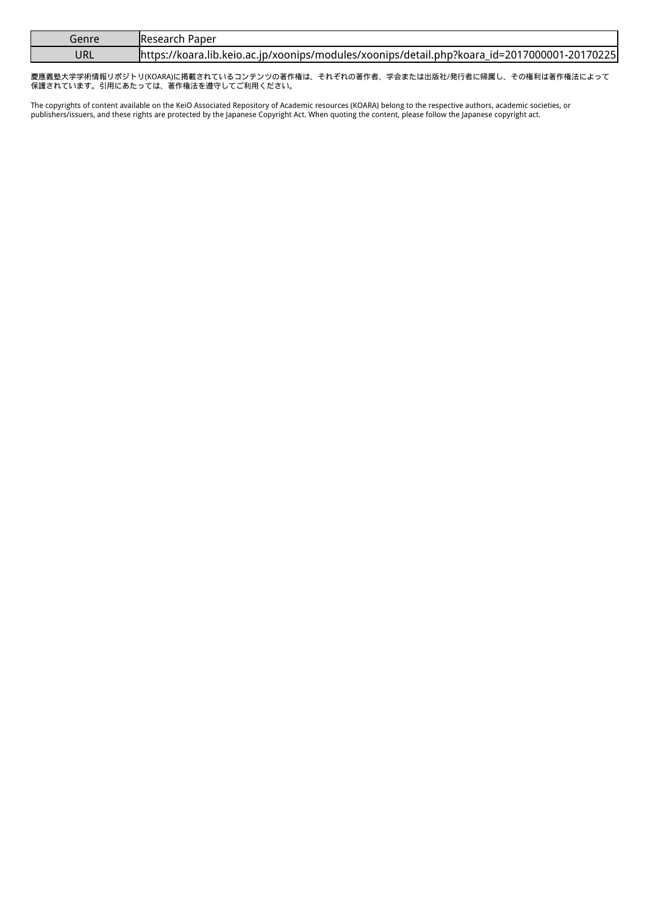| Genre | AResearch Paper                                                                              |
|-------|----------------------------------------------------------------------------------------------|
| URL   | https://koara.lib.keio.ac.jp/xoonips/modules/xoonips/detail.php?koara_id=2017000001-20170225 |

慶應義塾大学学術情報リポジトリ(KOARA)に掲載されているコンテンツの著作権は、それぞれの著作者、学会または出版社/発行者に帰属し、その権利は著作権法によって 保護されています。引用にあたっては、著作権法を遵守してご利用ください。

The copyrights of content available on the KeiO Associated Repository of Academic resources (KOARA) belong to the respective authors, academic societies, or publishers/issuers, and these rights are protected by the Japanese Copyright Act. When quoting the content, please follow the Japanese copyright act.